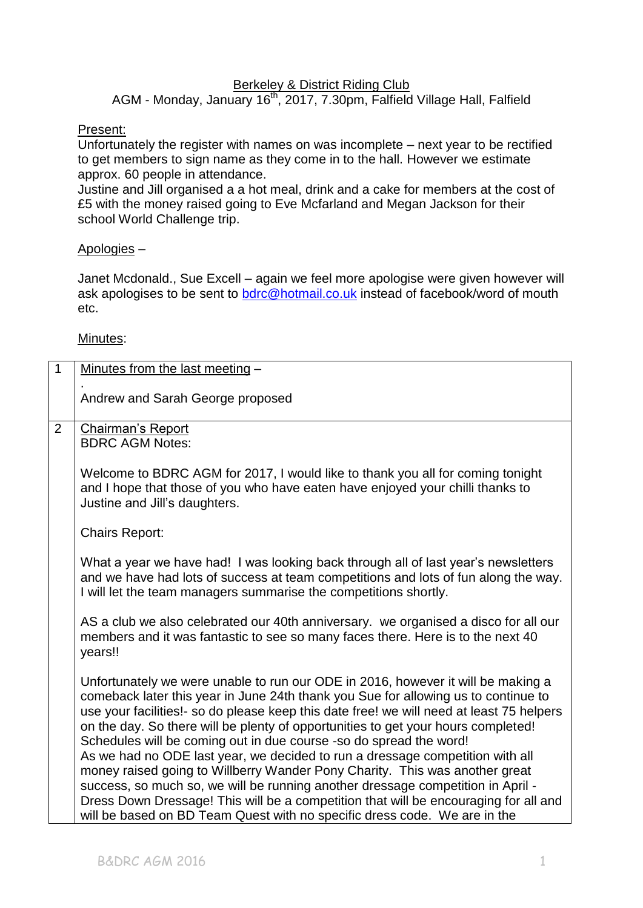#### **Berkeley & District Riding Club**

AGM - Monday, January 16<sup>th</sup>, 2017, 7.30pm, Falfield Village Hall, Falfield

#### Present:

Unfortunately the register with names on was incomplete – next year to be rectified to get members to sign name as they come in to the hall. However we estimate approx. 60 people in attendance.

Justine and Jill organised a a hot meal, drink and a cake for members at the cost of £5 with the money raised going to Eve Mcfarland and Megan Jackson for their school World Challenge trip.

#### Apologies –

Janet Mcdonald., Sue Excell – again we feel more apologise were given however will ask apologises to be sent to [bdrc@hotmail.co.uk](mailto:bdrc@hotmail.co.uk) instead of facebook/word of mouth etc.

Minutes:

| $\mathbf{1}$   | Minutes from the last meeting -                                                                                                                                                                                                                                                                                                                                                                                                                                                                                                                                                                                                                                                                                                                                          |
|----------------|--------------------------------------------------------------------------------------------------------------------------------------------------------------------------------------------------------------------------------------------------------------------------------------------------------------------------------------------------------------------------------------------------------------------------------------------------------------------------------------------------------------------------------------------------------------------------------------------------------------------------------------------------------------------------------------------------------------------------------------------------------------------------|
|                | Andrew and Sarah George proposed                                                                                                                                                                                                                                                                                                                                                                                                                                                                                                                                                                                                                                                                                                                                         |
| $\overline{2}$ | Chairman's Report<br><b>BDRC AGM Notes:</b>                                                                                                                                                                                                                                                                                                                                                                                                                                                                                                                                                                                                                                                                                                                              |
|                | Welcome to BDRC AGM for 2017, I would like to thank you all for coming tonight<br>and I hope that those of you who have eaten have enjoyed your chilli thanks to<br>Justine and Jill's daughters.                                                                                                                                                                                                                                                                                                                                                                                                                                                                                                                                                                        |
|                | <b>Chairs Report:</b>                                                                                                                                                                                                                                                                                                                                                                                                                                                                                                                                                                                                                                                                                                                                                    |
|                | What a year we have had! I was looking back through all of last year's newsletters<br>and we have had lots of success at team competitions and lots of fun along the way.<br>I will let the team managers summarise the competitions shortly.                                                                                                                                                                                                                                                                                                                                                                                                                                                                                                                            |
|                | AS a club we also celebrated our 40th anniversary. we organised a disco for all our<br>members and it was fantastic to see so many faces there. Here is to the next 40<br>years!!                                                                                                                                                                                                                                                                                                                                                                                                                                                                                                                                                                                        |
|                | Unfortunately we were unable to run our ODE in 2016, however it will be making a<br>comeback later this year in June 24th thank you Sue for allowing us to continue to<br>use your facilities!- so do please keep this date free! we will need at least 75 helpers<br>on the day. So there will be plenty of opportunities to get your hours completed!<br>Schedules will be coming out in due course -so do spread the word!<br>As we had no ODE last year, we decided to run a dressage competition with all<br>money raised going to Willberry Wander Pony Charity. This was another great<br>success, so much so, we will be running another dressage competition in April -<br>Dress Down Dressage! This will be a competition that will be encouraging for all and |
|                | will be based on BD Team Quest with no specific dress code. We are in the                                                                                                                                                                                                                                                                                                                                                                                                                                                                                                                                                                                                                                                                                                |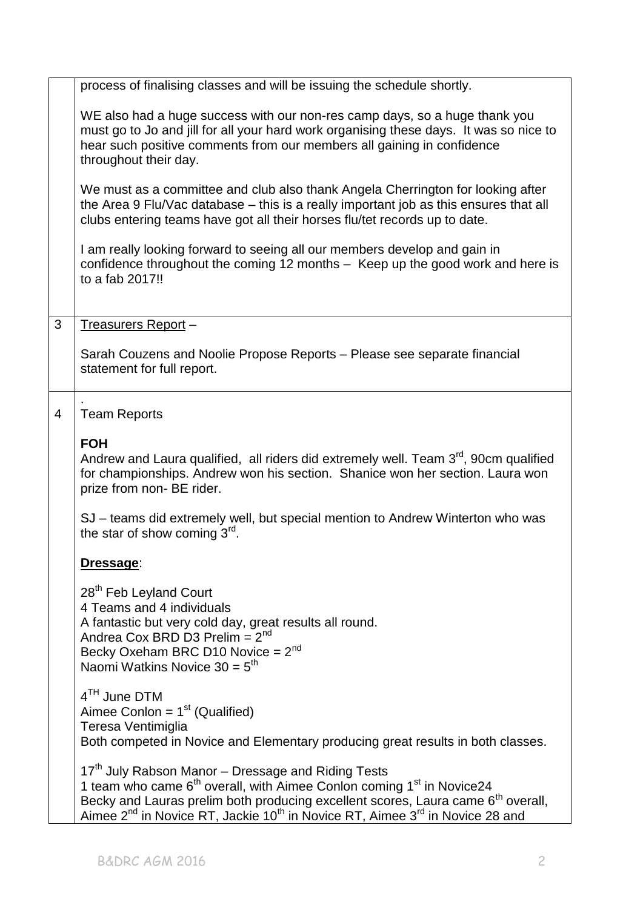|   | process of finalising classes and will be issuing the schedule shortly.                                                                                                                                                                                                                                                                                                             |
|---|-------------------------------------------------------------------------------------------------------------------------------------------------------------------------------------------------------------------------------------------------------------------------------------------------------------------------------------------------------------------------------------|
|   | WE also had a huge success with our non-res camp days, so a huge thank you<br>must go to Jo and jill for all your hard work organising these days. It was so nice to<br>hear such positive comments from our members all gaining in confidence<br>throughout their day.                                                                                                             |
|   | We must as a committee and club also thank Angela Cherrington for looking after<br>the Area 9 Flu/Vac database – this is a really important job as this ensures that all<br>clubs entering teams have got all their horses flu/tet records up to date.                                                                                                                              |
|   | I am really looking forward to seeing all our members develop and gain in<br>confidence throughout the coming 12 months - Keep up the good work and here is<br>to a fab 2017!!                                                                                                                                                                                                      |
| 3 | Treasurers Report -                                                                                                                                                                                                                                                                                                                                                                 |
|   | Sarah Couzens and Noolie Propose Reports - Please see separate financial<br>statement for full report.                                                                                                                                                                                                                                                                              |
| 4 | <b>Team Reports</b>                                                                                                                                                                                                                                                                                                                                                                 |
|   | <b>FOH</b><br>Andrew and Laura qualified, all riders did extremely well. Team 3 <sup>rd</sup> , 90cm qualified<br>for championships. Andrew won his section. Shanice won her section. Laura won<br>prize from non- BE rider.                                                                                                                                                        |
|   | SJ – teams did extremely well, but special mention to Andrew Winterton who was<br>the star of show coming 3 <sup>rd</sup> .                                                                                                                                                                                                                                                         |
|   | Dressage:                                                                                                                                                                                                                                                                                                                                                                           |
|   | 28 <sup>th</sup> Feb Leyland Court<br>4 Teams and 4 individuals<br>A fantastic but very cold day, great results all round.<br>Andrea Cox BRD D3 Prelim = $2^{nd}$<br>Becky Oxeham BRC D10 Novice = $2^{nd}$<br>Naomi Watkins Novice $30 = 5th$                                                                                                                                      |
|   | $4TH$ June DTM<br>Aimee Conlon = $1st$ (Qualified)<br>Teresa Ventimiglia<br>Both competed in Novice and Elementary producing great results in both classes.                                                                                                                                                                                                                         |
|   | 17 <sup>th</sup> July Rabson Manor – Dressage and Riding Tests<br>1 team who came 6 <sup>th</sup> overall, with Aimee Conlon coming 1 <sup>st</sup> in Novice24<br>Becky and Lauras prelim both producing excellent scores, Laura came 6 <sup>th</sup> overall,<br>Aimee 2 <sup>nd</sup> in Novice RT, Jackie 10 <sup>th</sup> in Novice RT, Aimee 3 <sup>rd</sup> in Novice 28 and |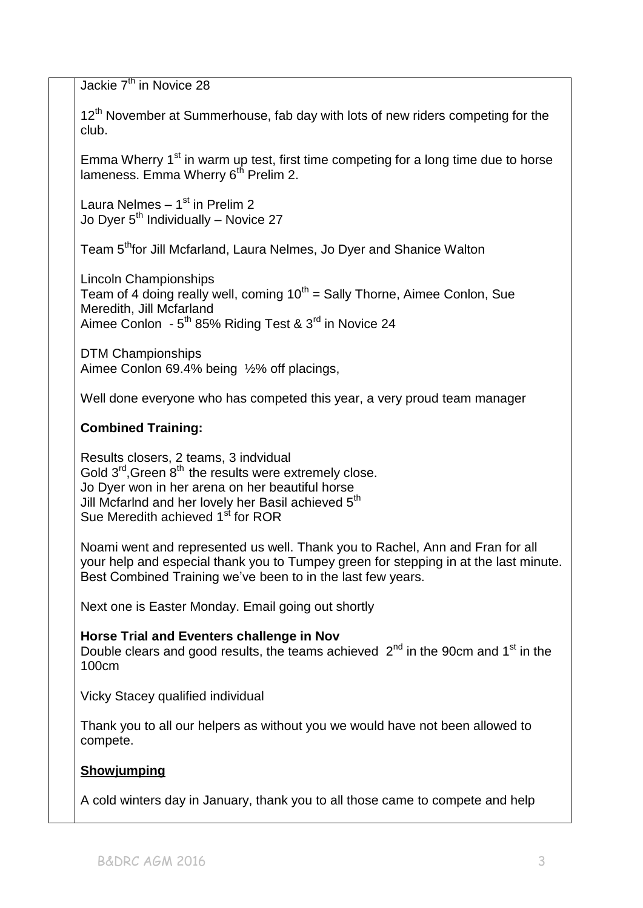Jackie 7<sup>th</sup> in Novice 28

 $12<sup>th</sup>$  November at Summerhouse, fab day with lots of new riders competing for the club.

Emma Wherry  $1<sup>st</sup>$  in warm up test, first time competing for a long time due to horse lameness. Emma Wherry  $6<sup>th</sup>$  Prelim 2.

Laura Nelmes – 1<sup>st</sup> in Prelim 2 Jo Dyer  $5<sup>th</sup>$  Individually – Novice 27

Team 5<sup>th</sup>for Jill Mcfarland, Laura Nelmes, Jo Dyer and Shanice Walton

Lincoln Championships Team of 4 doing really well, coming  $10<sup>th</sup>$  = Sally Thorne, Aimee Conlon, Sue Meredith, Jill Mcfarland Aimee Conlon - 5<sup>th</sup> 85% Riding Test & 3<sup>rd</sup> in Novice 24

DTM Championships Aimee Conlon 69.4% being ½% off placings,

Well done everyone who has competed this year, a very proud team manager

# **Combined Training:**

Results closers, 2 teams, 3 indvidual Gold  $3^{rd}$ , Green  $8^{th}$  the results were extremely close. Jo Dyer won in her arena on her beautiful horse Jill Mcfarlnd and her lovely her Basil achieved  $5<sup>th</sup>$ Sue Meredith achieved 1<sup>st</sup> for ROR

Noami went and represented us well. Thank you to Rachel, Ann and Fran for all your help and especial thank you to Tumpey green for stepping in at the last minute. Best Combined Training we've been to in the last few years.

Next one is Easter Monday. Email going out shortly

# **Horse Trial and Eventers challenge in Nov**

Double clears and good results, the teams achieved  $2^{nd}$  in the 90cm and 1<sup>st</sup> in the 100cm

Vicky Stacey qualified individual

Thank you to all our helpers as without you we would have not been allowed to compete.

# **Showjumping**

A cold winters day in January, thank you to all those came to compete and help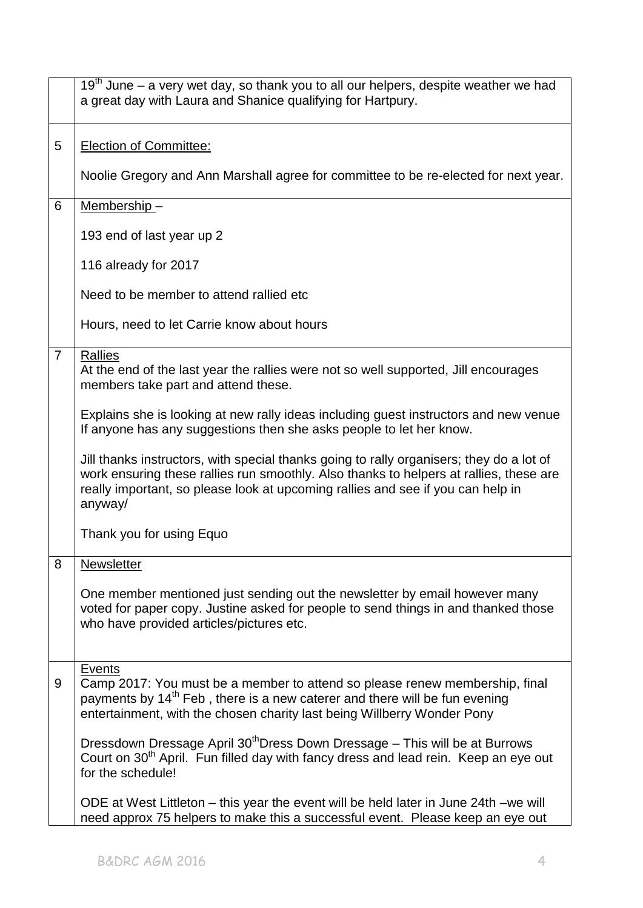|                | 19 <sup>th</sup> June – a very wet day, so thank you to all our helpers, despite weather we had<br>a great day with Laura and Shanice qualifying for Hartpury.                                                                                                                   |
|----------------|----------------------------------------------------------------------------------------------------------------------------------------------------------------------------------------------------------------------------------------------------------------------------------|
| 5              | <b>Election of Committee:</b>                                                                                                                                                                                                                                                    |
|                | Noolie Gregory and Ann Marshall agree for committee to be re-elected for next year.                                                                                                                                                                                              |
| 6              | Membership-                                                                                                                                                                                                                                                                      |
|                | 193 end of last year up 2                                                                                                                                                                                                                                                        |
|                | 116 already for 2017                                                                                                                                                                                                                                                             |
|                | Need to be member to attend rallied etc.                                                                                                                                                                                                                                         |
|                | Hours, need to let Carrie know about hours                                                                                                                                                                                                                                       |
| $\overline{7}$ | Rallies<br>At the end of the last year the rallies were not so well supported, Jill encourages<br>members take part and attend these.                                                                                                                                            |
|                | Explains she is looking at new rally ideas including guest instructors and new venue<br>If anyone has any suggestions then she asks people to let her know.                                                                                                                      |
|                | Jill thanks instructors, with special thanks going to rally organisers; they do a lot of<br>work ensuring these rallies run smoothly. Also thanks to helpers at rallies, these are<br>really important, so please look at upcoming rallies and see if you can help in<br>anyway/ |
|                | Thank you for using Equo                                                                                                                                                                                                                                                         |
| 8              | <b>Newsletter</b>                                                                                                                                                                                                                                                                |
|                | One member mentioned just sending out the newsletter by email however many<br>voted for paper copy. Justine asked for people to send things in and thanked those<br>who have provided articles/pictures etc.                                                                     |
| 9              | Events<br>Camp 2017: You must be a member to attend so please renew membership, final<br>payments by 14 <sup>th</sup> Feb, there is a new caterer and there will be fun evening<br>entertainment, with the chosen charity last being Willberry Wonder Pony                       |
|                | Dressdown Dressage April 30 <sup>th</sup> Dress Down Dressage - This will be at Burrows<br>Court on 30 <sup>th</sup> April. Fun filled day with fancy dress and lead rein. Keep an eye out<br>for the schedule!                                                                  |
|                | ODE at West Littleton – this year the event will be held later in June 24th – we will<br>need approx 75 helpers to make this a successful event. Please keep an eye out                                                                                                          |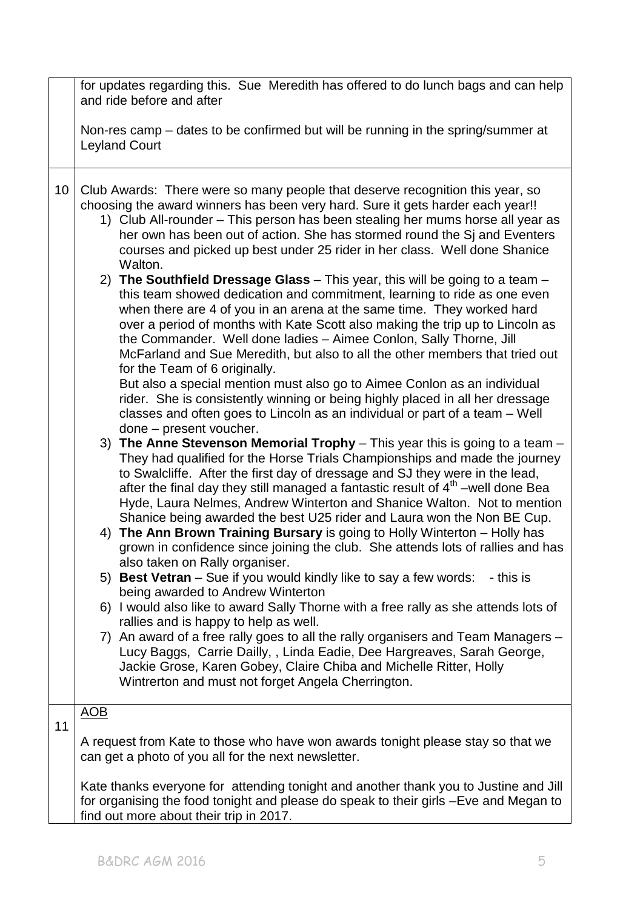|    | for updates regarding this. Sue Meredith has offered to do lunch bags and can help<br>and ride before and after                                                                                                                                                                                                                                                                                                                                                                                            |
|----|------------------------------------------------------------------------------------------------------------------------------------------------------------------------------------------------------------------------------------------------------------------------------------------------------------------------------------------------------------------------------------------------------------------------------------------------------------------------------------------------------------|
|    | Non-res camp – dates to be confirmed but will be running in the spring/summer at<br><b>Leyland Court</b>                                                                                                                                                                                                                                                                                                                                                                                                   |
| 10 | Club Awards: There were so many people that deserve recognition this year, so<br>choosing the award winners has been very hard. Sure it gets harder each year!!<br>1) Club All-rounder – This person has been stealing her mums horse all year as<br>her own has been out of action. She has stormed round the Sj and Eventers<br>courses and picked up best under 25 rider in her class. Well done Shanice<br>Walton.<br>2) The Southfield Dressage Glass $-$ This year, this will be going to a team $-$ |
|    | this team showed dedication and commitment, learning to ride as one even<br>when there are 4 of you in an arena at the same time. They worked hard<br>over a period of months with Kate Scott also making the trip up to Lincoln as<br>the Commander. Well done ladies - Aimee Conlon, Sally Thorne, Jill<br>McFarland and Sue Meredith, but also to all the other members that tried out<br>for the Team of 6 originally.<br>But also a special mention must also go to Aimee Conlon as an individual     |
|    | rider. She is consistently winning or being highly placed in all her dressage<br>classes and often goes to Lincoln as an individual or part of a team – Well<br>done - present voucher.                                                                                                                                                                                                                                                                                                                    |
|    | 3) The Anne Stevenson Memorial Trophy – This year this is going to a team –<br>They had qualified for the Horse Trials Championships and made the journey<br>to Swalcliffe. After the first day of dressage and SJ they were in the lead,<br>after the final day they still managed a fantastic result of 4 <sup>th</sup> –well done Bea<br>Hyde, Laura Nelmes, Andrew Winterton and Shanice Walton. Not to mention<br>Shanice being awarded the best U25 rider and Laura won the Non BE Cup.              |
|    | 4) The Ann Brown Training Bursary is going to Holly Winterton - Holly has<br>grown in confidence since joining the club. She attends lots of rallies and has<br>also taken on Rally organiser.                                                                                                                                                                                                                                                                                                             |
|    | 5) Best Vetran – Sue if you would kindly like to say a few words: - this is<br>being awarded to Andrew Winterton<br>6) I would also like to award Sally Thorne with a free rally as she attends lots of                                                                                                                                                                                                                                                                                                    |
|    | rallies and is happy to help as well.<br>7) An award of a free rally goes to all the rally organisers and Team Managers –<br>Lucy Baggs, Carrie Dailly, , Linda Eadie, Dee Hargreaves, Sarah George,<br>Jackie Grose, Karen Gobey, Claire Chiba and Michelle Ritter, Holly<br>Wintrerton and must not forget Angela Cherrington.                                                                                                                                                                           |
| 11 | <u>AOB</u>                                                                                                                                                                                                                                                                                                                                                                                                                                                                                                 |
|    | A request from Kate to those who have won awards tonight please stay so that we<br>can get a photo of you all for the next newsletter.                                                                                                                                                                                                                                                                                                                                                                     |
|    | Kate thanks everyone for attending tonight and another thank you to Justine and Jill<br>for organising the food tonight and please do speak to their girls -Eve and Megan to<br>find out more about their trip in 2017.                                                                                                                                                                                                                                                                                    |